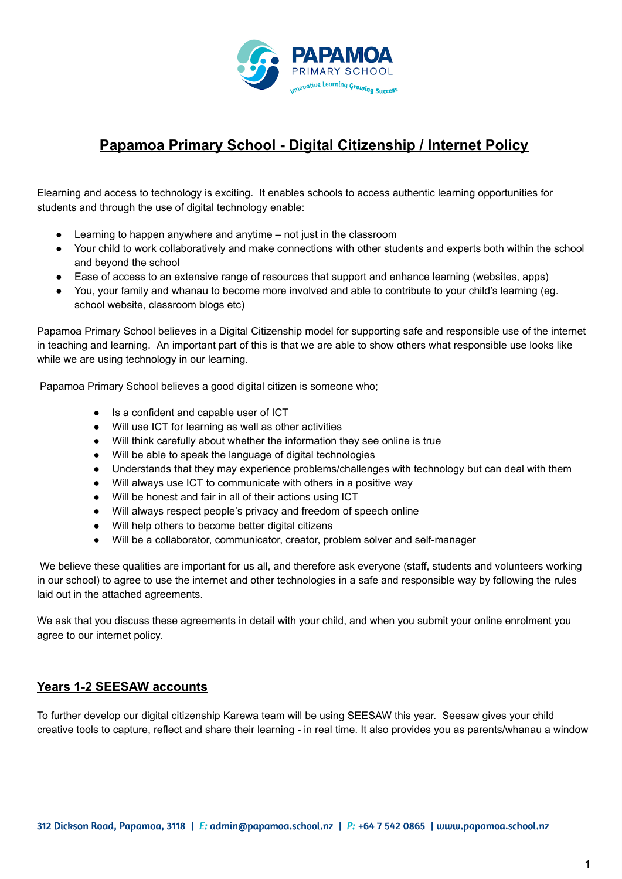

# **Papamoa Primary School - Digital Citizenship / Internet Policy**

Elearning and access to technology is exciting. It enables schools to access authentic learning opportunities for students and through the use of digital technology enable:

- Learning to happen anywhere and anytime  $-$  not just in the classroom
- Your child to work collaboratively and make connections with other students and experts both within the school and beyond the school
- Ease of access to an extensive range of resources that support and enhance learning (websites, apps)
- You, your family and whanau to become more involved and able to contribute to your child's learning (eg. school website, classroom blogs etc)

Papamoa Primary School believes in a Digital Citizenship model for supporting safe and responsible use of the internet in teaching and learning. An important part of this is that we are able to show others what responsible use looks like while we are using technology in our learning.

Papamoa Primary School believes a good digital citizen is someone who;

- Is a confident and capable user of ICT
- Will use ICT for learning as well as other activities
- Will think carefully about whether the information they see online is true
- Will be able to speak the language of digital technologies
- Understands that they may experience problems/challenges with technology but can deal with them
- Will always use ICT to communicate with others in a positive way
- Will be honest and fair in all of their actions using ICT
- Will always respect people's privacy and freedom of speech online
- Will help others to become better digital citizens
- Will be a collaborator, communicator, creator, problem solver and self-manager

We believe these qualities are important for us all, and therefore ask everyone (staff, students and volunteers working in our school) to agree to use the internet and other technologies in a safe and responsible way by following the rules laid out in the attached agreements.

We ask that you discuss these agreements in detail with your child, and when you submit your online enrolment you agree to our internet policy.

#### **Years 1-2 SEESAW accounts**

To further develop our digital citizenship Karewa team will be using SEESAW this year. Seesaw gives your child creative tools to capture, reflect and share their learning - in real time. It also provides you as parents/whanau a window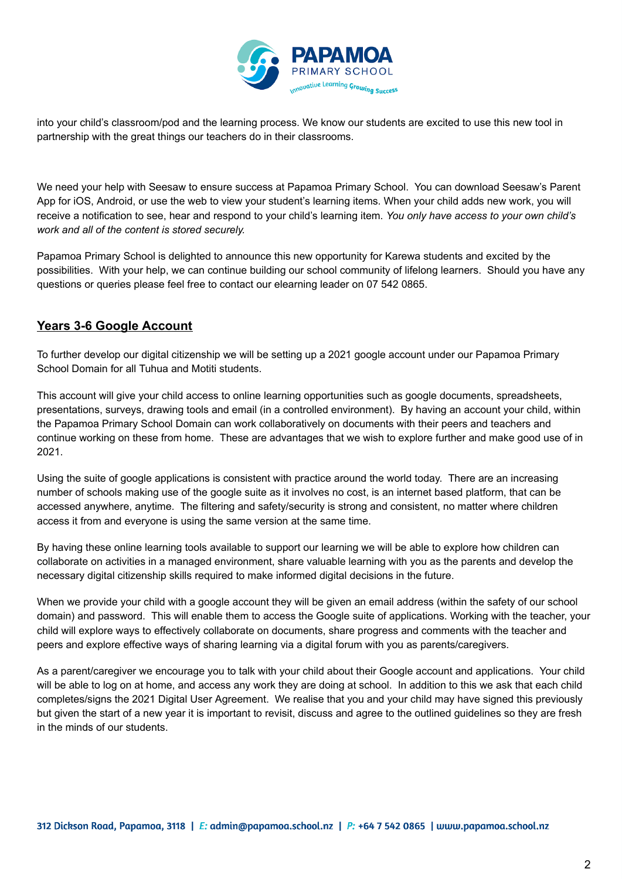

into your child's classroom/pod and the learning process. We know our students are excited to use this new tool in partnership with the great things our teachers do in their classrooms.

We need your help with Seesaw to ensure success at Papamoa Primary School. You can download Seesaw's Parent App for iOS, Android, or use the web to view your student's learning items. When your child adds new work, you will receive a notification to see, hear and respond to your child's learning item. *You only have access to your own child's work and all of the content is stored securely.*

Papamoa Primary School is delighted to announce this new opportunity for Karewa students and excited by the possibilities. With your help, we can continue building our school community of lifelong learners. Should you have any questions or queries please feel free to contact our elearning leader on 07 542 0865.

#### **Years 3-6 Google Account**

To further develop our digital citizenship we will be setting up a 2021 google account under our Papamoa Primary School Domain for all Tuhua and Motiti students.

This account will give your child access to online learning opportunities such as google documents, spreadsheets, presentations, surveys, drawing tools and email (in a controlled environment). By having an account your child, within the Papamoa Primary School Domain can work collaboratively on documents with their peers and teachers and continue working on these from home. These are advantages that we wish to explore further and make good use of in 2021.

Using the suite of google applications is consistent with practice around the world today. There are an increasing number of schools making use of the google suite as it involves no cost, is an internet based platform, that can be accessed anywhere, anytime. The filtering and safety/security is strong and consistent, no matter where children access it from and everyone is using the same version at the same time.

By having these online learning tools available to support our learning we will be able to explore how children can collaborate on activities in a managed environment, share valuable learning with you as the parents and develop the necessary digital citizenship skills required to make informed digital decisions in the future.

When we provide your child with a google account they will be given an email address (within the safety of our school domain) and password. This will enable them to access the Google suite of applications. Working with the teacher, your child will explore ways to effectively collaborate on documents, share progress and comments with the teacher and peers and explore effective ways of sharing learning via a digital forum with you as parents/caregivers.

As a parent/caregiver we encourage you to talk with your child about their Google account and applications. Your child will be able to log on at home, and access any work they are doing at school. In addition to this we ask that each child completes/signs the 2021 Digital User Agreement. We realise that you and your child may have signed this previously but given the start of a new year it is important to revisit, discuss and agree to the outlined guidelines so they are fresh in the minds of our students.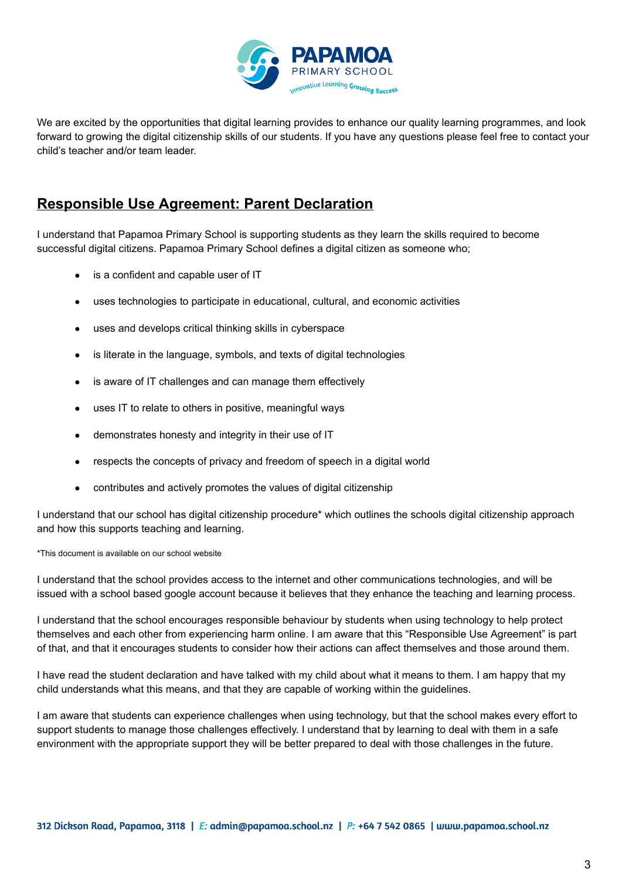

We are excited by the opportunities that digital learning provides to enhance our quality learning programmes, and look forward to growing the digital citizenship skills of our students. If you have any questions please feel free to contact your child's teacher and/or team leader.

### **Responsible Use Agreement: Parent Declaration**

I understand that Papamoa Primary School is supporting students as they learn the skills required to become successful digital citizens. Papamoa Primary School defines a digital citizen as someone who;

- is a confident and capable user of IT
- uses technologies to participate in educational, cultural, and economic activities
- uses and develops critical thinking skills in cyberspace
- is literate in the language, symbols, and texts of digital technologies
- is aware of IT challenges and can manage them effectively
- uses IT to relate to others in positive, meaningful ways
- demonstrates honesty and integrity in their use of IT
- respects the concepts of privacy and freedom of speech in a digital world
- contributes and actively promotes the values of digital citizenship

I understand that our school has digital citizenship procedure\* which outlines the schools digital citizenship approach and how this supports teaching and learning.

\*This document is available on our school website

I understand that the school provides access to the internet and other communications technologies, and will be issued with a school based google account because it believes that they enhance the teaching and learning process.

I understand that the school encourages responsible behaviour by students when using technology to help protect themselves and each other from experiencing harm online. I am aware that this "Responsible Use Agreement" is part of that, and that it encourages students to consider how their actions can affect themselves and those around them.

I have read the student declaration and have talked with my child about what it means to them. I am happy that my child understands what this means, and that they are capable of working within the guidelines.

I am aware that students can experience challenges when using technology, but that the school makes every effort to support students to manage those challenges effectively. I understand that by learning to deal with them in a safe environment with the appropriate support they will be better prepared to deal with those challenges in the future.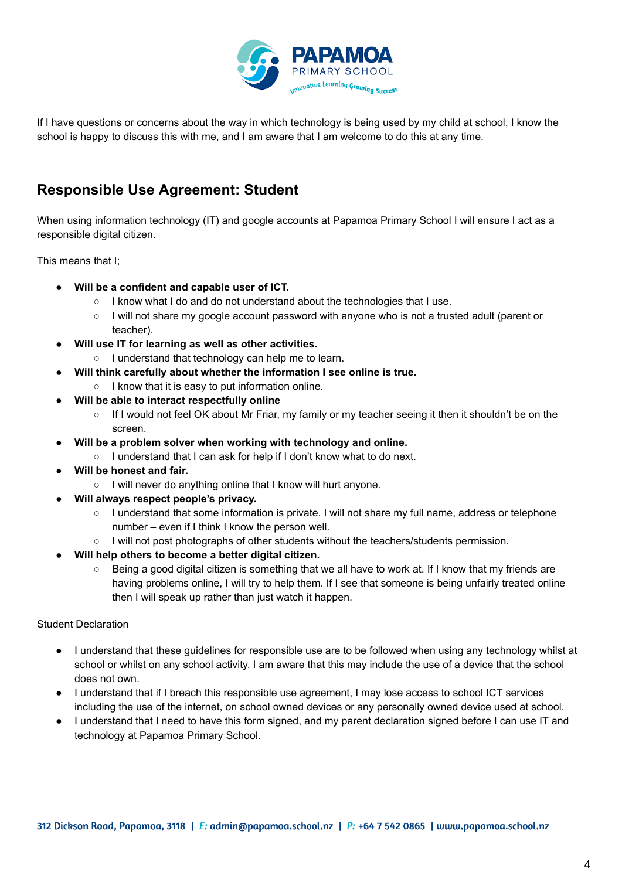

If I have questions or concerns about the way in which technology is being used by my child at school, I know the school is happy to discuss this with me, and I am aware that I am welcome to do this at any time.

### **Responsible Use Agreement: Student**

When using information technology (IT) and google accounts at Papamoa Primary School I will ensure I act as a responsible digital citizen.

This means that I;

- **Will be a confident and capable user of ICT.**
	- I know what I do and do not understand about the technologies that I use.
	- I will not share my google account password with anyone who is not a trusted adult (parent or teacher).
- **Will use IT for learning as well as other activities.**
	- I understand that technology can help me to learn.
- **Will think carefully about whether the information I see online is true.**
	- I know that it is easy to put information online.
- **Will be able to interact respectfully online**
	- If I would not feel OK about Mr Friar, my family or my teacher seeing it then it shouldn't be on the screen.
- **Will be a problem solver when working with technology and online.**
	- I understand that I can ask for help if I don't know what to do next.
- **Will be honest and fair.**
	- I will never do anything online that I know will hurt anyone.
- **Will always respect people's privacy.**
	- I understand that some information is private. I will not share my full name, address or telephone number – even if I think I know the person well.
	- I will not post photographs of other students without the teachers/students permission.
- **Will help others to become a better digital citizen.**
	- Being a good digital citizen is something that we all have to work at. If I know that my friends are having problems online, I will try to help them. If I see that someone is being unfairly treated online then I will speak up rather than just watch it happen.

Student Declaration

- I understand that these guidelines for responsible use are to be followed when using any technology whilst at school or whilst on any school activity. I am aware that this may include the use of a device that the school does not own.
- I understand that if I breach this responsible use agreement, I may lose access to school ICT services including the use of the internet, on school owned devices or any personally owned device used at school.
- I understand that I need to have this form signed, and my parent declaration signed before I can use IT and technology at Papamoa Primary School.